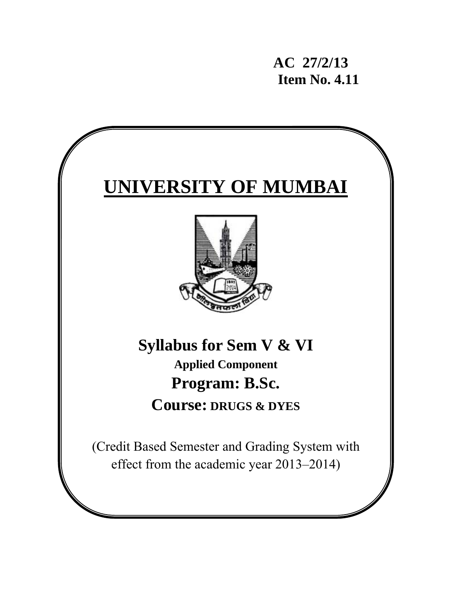**AC 27/2/13 Item No. 4.11** 

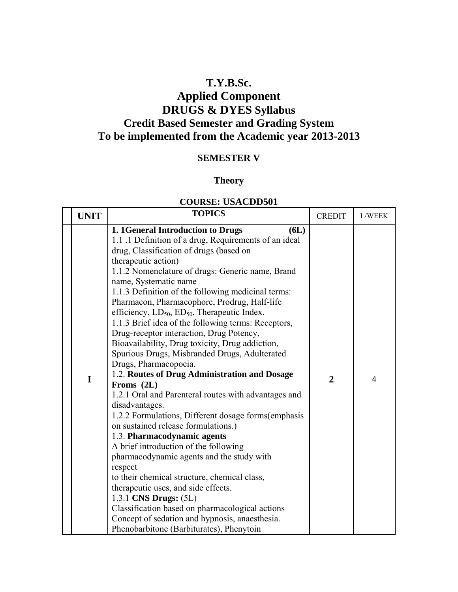# **T.Y.B.Sc.**

# **Applied Component DRUGS & DYES Syllabus Credit Based Semester and Grading System To be implemented from the Academic year 2013-2013**

### **SEMESTER V**

### **Theory**

### **COURSE: USACDD501**

| <b>UNIT</b> |   | <b>TOPICS</b>                                                                                                                                                                                                                                                                                                                                                                                                                                                                                                                                                                                                                                                                                                                                                                                                                                                                                                                                                                                                                                                                                                                                                                                                                                                                               | <b>CREDIT</b>  | L/WEEK |
|-------------|---|---------------------------------------------------------------------------------------------------------------------------------------------------------------------------------------------------------------------------------------------------------------------------------------------------------------------------------------------------------------------------------------------------------------------------------------------------------------------------------------------------------------------------------------------------------------------------------------------------------------------------------------------------------------------------------------------------------------------------------------------------------------------------------------------------------------------------------------------------------------------------------------------------------------------------------------------------------------------------------------------------------------------------------------------------------------------------------------------------------------------------------------------------------------------------------------------------------------------------------------------------------------------------------------------|----------------|--------|
|             | I | 1. 1 General Introduction to Drugs<br>6L)<br>1.1 .1 Definition of a drug, Requirements of an ideal<br>drug, Classification of drugs (based on<br>therapeutic action)<br>1.1.2 Nomenclature of drugs: Generic name, Brand<br>name, Systematic name<br>1.1.3 Definition of the following medicinal terms:<br>Pharmacon, Pharmacophore, Prodrug, Half-life<br>efficiency, $LD_{50}$ , $ED_{50}$ , Therapeutic Index.<br>1.1.3 Brief idea of the following terms: Receptors,<br>Drug-receptor interaction, Drug Potency,<br>Bioavailability, Drug toxicity, Drug addiction,<br>Spurious Drugs, Misbranded Drugs, Adulterated<br>Drugs, Pharmacopoeia.<br>1.2. Routes of Drug Administration and Dosage<br>Froms $(2L)$<br>1.2.1 Oral and Parenteral routes with advantages and<br>disadvantages.<br>1.2.2 Formulations, Different dosage forms(emphasis<br>on sustained release formulations.)<br>1.3. Pharmacodynamic agents<br>A brief introduction of the following<br>pharmacodynamic agents and the study with<br>respect<br>to their chemical structure, chemical class,<br>therapeutic uses, and side effects.<br>1.3.1 CNS Drugs: (5L)<br>Classification based on pharmacological actions<br>Concept of sedation and hypnosis, anaesthesia.<br>Phenobarbitone (Barbiturates), Phenytoin | $\overline{2}$ | 4      |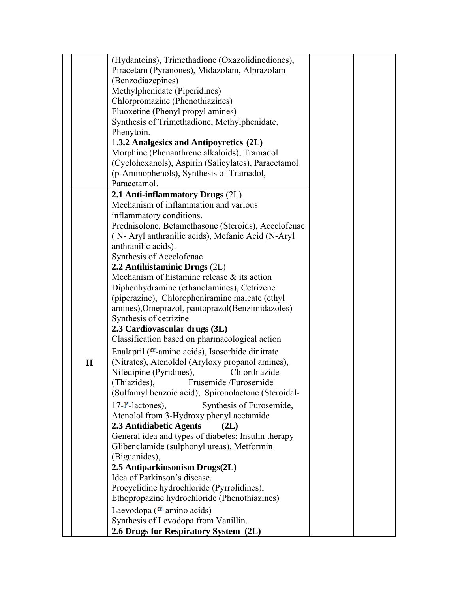|              | (Hydantoins), Trimethadione (Oxazolidinediones),                            |  |
|--------------|-----------------------------------------------------------------------------|--|
|              | Piracetam (Pyranones), Midazolam, Alprazolam                                |  |
|              | (Benzodiazepines)                                                           |  |
|              | Methylphenidate (Piperidines)                                               |  |
|              | Chlorpromazine (Phenothiazines)                                             |  |
|              | Fluoxetine (Phenyl propyl amines)                                           |  |
|              | Synthesis of Trimethadione, Methylphenidate,                                |  |
|              | Phenytoin.                                                                  |  |
|              | 1.3.2 Analgesics and Antipoyretics (2L)                                     |  |
|              | Morphine (Phenanthrene alkaloids), Tramadol                                 |  |
|              | (Cyclohexanols), Aspirin (Salicylates), Paracetamol                         |  |
|              | (p-Aminophenols), Synthesis of Tramadol,                                    |  |
|              | Paracetamol.                                                                |  |
|              | 2.1 Anti-inflammatory Drugs (2L)                                            |  |
|              | Mechanism of inflammation and various                                       |  |
|              | inflammatory conditions.                                                    |  |
|              | Prednisolone, Betamethasone (Steroids), Aceclofenac                         |  |
|              | (N-Aryl anthranilic acids), Mefanic Acid (N-Aryl)                           |  |
|              | anthranilic acids).                                                         |  |
|              | Synthesis of Aceclofenac                                                    |  |
|              | 2.2 Antihistaminic Drugs (2L)                                               |  |
|              | Mechanism of histamine release & its action                                 |  |
|              | Diphenhydramine (ethanolamines), Cetrizene                                  |  |
|              | (piperazine), Chloropheniramine maleate (ethyl)                             |  |
|              | amines), Omeprazol, pantoprazol(Benzimidazoles)                             |  |
|              | Synthesis of cetrizine                                                      |  |
|              | 2.3 Cardiovascular drugs (3L)                                               |  |
|              | Classification based on pharmacological action                              |  |
|              | Enalapril ( $\alpha$ -amino acids), Isosorbide dinitrate                    |  |
| $\mathbf{I}$ | (Nitrates), Atenoldol (Aryloxy propanol amines),                            |  |
|              | Nifedipine (Pyridines),<br>Chlorthiazide                                    |  |
|              | (Thiazides),<br>Frusemide /Furosemide                                       |  |
|              | (Sulfamyl benzoic acid), Spironolactone (Steroidal-                         |  |
|              | $17 -$ <b>Y</b> -lactones),<br>Synthesis of Furosemide,                     |  |
|              |                                                                             |  |
|              | Atenolol from 3-Hydroxy phenyl acetamide<br>2.3 Antidiabetic Agents<br>(2L) |  |
|              | General idea and types of diabetes; Insulin therapy                         |  |
|              | Glibenclamide (sulphonyl ureas), Metformin                                  |  |
|              | (Biguanides),                                                               |  |
|              |                                                                             |  |
|              | 2.5 Antiparkinsonism Drugs(2L)<br>Idea of Parkinson's disease.              |  |
|              |                                                                             |  |
|              | Procyclidine hydrochloride (Pyrrolidines),                                  |  |
|              | Ethopropazine hydrochloride (Phenothiazines)                                |  |
|              | Laevodopa ( $\alpha$ -amino acids)                                          |  |
|              | Synthesis of Levodopa from Vanillin.                                        |  |
|              | 2.6 Drugs for Respiratory System (2L)                                       |  |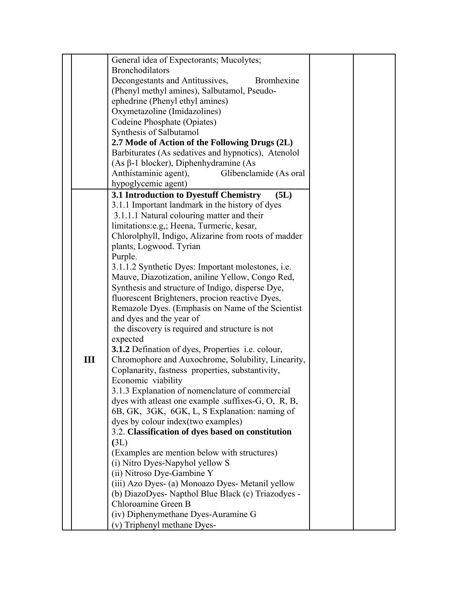|     | General idea of Expectorants; Mucolytes;                 |
|-----|----------------------------------------------------------|
|     | <b>Bronchodilators</b>                                   |
|     | Decongestants and Antitussives,<br>Bromhexine            |
|     | (Phenyl methyl amines), Salbutamol, Pseudo-              |
|     | ephedrine (Phenyl ethyl amines)                          |
|     | Oxymetazoline (Imidazolines)                             |
|     | Codeine Phosphate (Opiates)                              |
|     | Synthesis of Salbutamol                                  |
|     | 2.7 Mode of Action of the Following Drugs (2L)           |
|     | Barbiturates (As sedatives and hypnotics), Atenolol      |
|     | $(As β-1 blocker)$ , Diphenhydramine (As                 |
|     | Anthistaminic agent),<br>Glibenclamide (As oral          |
|     | hypoglycemic agent)                                      |
|     | 3.1 Introduction to Dyestuff Chemistry<br>(5L)           |
|     | 3.1.1 Important landmark in the history of dyes          |
|     |                                                          |
|     | 3.1.1.1 Natural colouring matter and their               |
|     | limitations: e.g.; Heena, Turmeric, kesar,               |
|     | Chlorolphyll, Indigo, Alizarine from roots of madder     |
|     | plants, Logwood. Tyrian                                  |
|     | Purple.                                                  |
|     | 3.1.1.2 Synthetic Dyes: Important molestones, i.e.       |
|     | Mauve, Diazotization, aniline Yellow, Congo Red,         |
|     | Synthesis and structure of Indigo, disperse Dye,         |
|     | fluorescent Brighteners, procion reactive Dyes,          |
|     | Remazole Dyes. (Emphasis on Name of the Scientist        |
|     | and dyes and the year of                                 |
|     | the discovery is required and structure is not           |
|     | expected                                                 |
|     | <b>3.1.2</b> Defination of dyes, Properties i.e. colour, |
| III | Chromophore and Auxochrome, Solubility, Linearity,       |
|     | Coplanarity, fastness properties, substantivity,         |
|     | Economic viability                                       |
|     | 3.1.3 Explanation of nomenclature of commercial          |
|     | dyes with at least one example .suffixes-G, O, R, B,     |
|     | 6B, GK, 3GK, 6GK, L, S Explanation: naming of            |
|     | dyes by colour index (two examples)                      |
|     | 3.2. Classification of dyes based on constitution        |
|     | (3L)                                                     |
|     | (Examples are mention below with structures)             |
|     | (i) Nitro Dyes-Napyhol yellow S                          |
|     | (ii) Nitroso Dye-Gambine Y                               |
|     | (iii) Azo Dyes- (a) Monoazo Dyes- Metanil yellow         |
|     | (b) DiazoDyes- Napthol Blue Black (c) Triazodyes -       |
|     | Chloroamine Green B                                      |
|     |                                                          |
|     | (iv) Diphenymethane Dyes-Auramine G                      |
|     | (v) Triphenyl methane Dyes-                              |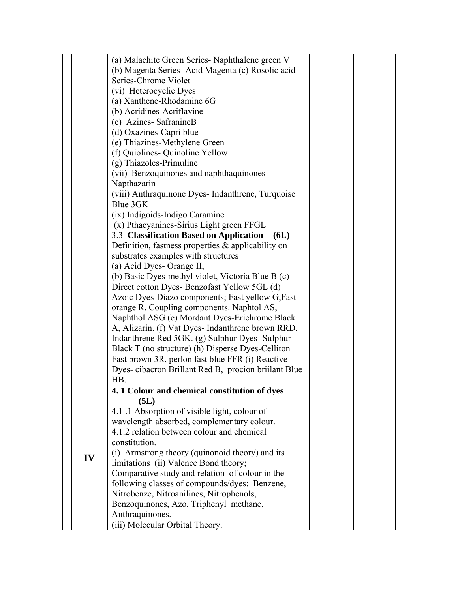|    | (a) Malachite Green Series- Naphthalene green V                                              |  |
|----|----------------------------------------------------------------------------------------------|--|
|    | (b) Magenta Series-Acid Magenta (c) Rosolic acid                                             |  |
|    | Series-Chrome Violet                                                                         |  |
|    | (vi) Heterocyclic Dyes                                                                       |  |
|    | (a) Xanthene-Rhodamine 6G                                                                    |  |
|    | (b) Acridines-Acriflavine                                                                    |  |
|    | (c) Azines- SafranineB                                                                       |  |
|    |                                                                                              |  |
|    | (d) Oxazines-Capri blue                                                                      |  |
|    | (e) Thiazines-Methylene Green                                                                |  |
|    | (f) Quiolines- Quinoline Yellow<br>$(g)$ Thiazoles-Primuline                                 |  |
|    |                                                                                              |  |
|    | (vii) Benzoquinones and naphthaquinones-                                                     |  |
|    | Napthazarin                                                                                  |  |
|    | (viii) Anthraquinone Dyes- Indanthrene, Turquoise<br>Blue 3GK                                |  |
|    |                                                                                              |  |
|    | (ix) Indigoids-Indigo Caramine                                                               |  |
|    | (x) Pthacyanines-Sirius Light green FFGL                                                     |  |
|    | 3.3 Classification Based on Application<br>6L)                                               |  |
|    | Definition, fastness properties $\&$ applicability on<br>substrates examples with structures |  |
|    | (a) Acid Dyes- Orange II,                                                                    |  |
|    | (b) Basic Dyes-methyl violet, Victoria Blue B (c)                                            |  |
|    | Direct cotton Dyes- Benzofast Yellow 5GL (d)                                                 |  |
|    | Azoic Dyes-Diazo components; Fast yellow G, Fast                                             |  |
|    | orange R. Coupling components. Naphtol AS,                                                   |  |
|    | Naphthol ASG (e) Mordant Dyes-Erichrome Black                                                |  |
|    | A, Alizarin. (f) Vat Dyes- Indanthrene brown RRD,                                            |  |
|    | Indanthrene Red 5GK. (g) Sulphur Dyes- Sulphur                                               |  |
|    | Black T (no structure) (h) Disperse Dyes-Celliton                                            |  |
|    | Fast brown 3R, perlon fast blue FFR (i) Reactive                                             |  |
|    | Dyes-cibacron Brillant Red B, procion brillant Blue                                          |  |
|    | HB                                                                                           |  |
|    | 4.1 Colour and chemical constitution of dyes                                                 |  |
|    | (5L)                                                                                         |  |
|    | 4.1.1 Absorption of visible light, colour of                                                 |  |
|    | wavelength absorbed, complementary colour.                                                   |  |
|    | 4.1.2 relation between colour and chemical                                                   |  |
|    | constitution.                                                                                |  |
| IV | (i) Armstrong theory (quinonoid theory) and its                                              |  |
|    | limitations (ii) Valence Bond theory;                                                        |  |
|    | Comparative study and relation of colour in the                                              |  |
|    | following classes of compounds/dyes: Benzene,                                                |  |
|    | Nitrobenze, Nitroanilines, Nitrophenols,                                                     |  |
|    | Benzoquinones, Azo, Triphenyl methane,                                                       |  |
|    | Anthraquinones.                                                                              |  |
|    | (iii) Molecular Orbital Theory.                                                              |  |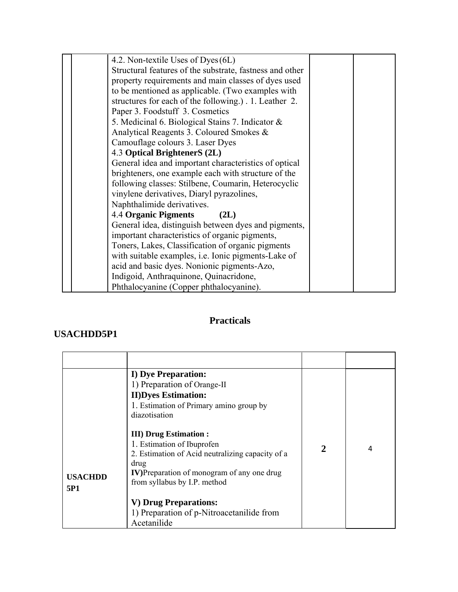| 4.2. Non-textile Uses of Dyes (6L)                         |  |
|------------------------------------------------------------|--|
| Structural features of the substrate, fastness and other   |  |
| property requirements and main classes of dyes used        |  |
| to be mentioned as applicable. (Two examples with          |  |
| structures for each of the following.). 1. Leather 2.      |  |
| Paper 3. Foodstuff 3. Cosmetics                            |  |
| 5. Medicinal 6. Biological Stains 7. Indicator $\&$        |  |
| Analytical Reagents 3. Coloured Smokes &                   |  |
| Camouflage colours 3. Laser Dyes                           |  |
| 4.3 Optical BrightenerS (2L)                               |  |
| General idea and important characteristics of optical      |  |
| brighteners, one example each with structure of the        |  |
| following classes: Stilbene, Coumarin, Heterocyclic        |  |
| vinylene derivatives, Diaryl pyrazolines,                  |  |
| Naphthalimide derivatives.                                 |  |
| <b>4.4 Organic Pigments</b><br>(2L)                        |  |
| General idea, distinguish between dyes and pigments,       |  |
| important characteristics of organic pigments,             |  |
| Toners, Lakes, Classification of organic pigments          |  |
| with suitable examples, <i>i.e.</i> Ionic pigments-Lake of |  |
| acid and basic dyes. Nonionic pigments-Azo,                |  |
| Indigoid, Anthraquinone, Quinacridone,                     |  |
| Phthalocyanine (Copper phthalocyanine).                    |  |

# **Practicals**

### **USACHDD5P1**

|                       | <b>I)</b> Dye Preparation:<br>1) Preparation of Orange-II<br><b>II)Dyes Estimation:</b><br>1. Estimation of Primary amino group by<br>diazotisation                                                            |              |   |
|-----------------------|----------------------------------------------------------------------------------------------------------------------------------------------------------------------------------------------------------------|--------------|---|
| <b>USACHDD</b><br>5P1 | <b>III</b> ) Drug Estimation :<br>1. Estimation of Ibuprofen<br>2. Estimation of Acid neutralizing capacity of a<br>drug<br><b>IV</b> )Preparation of monogram of any one drug<br>from syllabus by I.P. method | $\mathbf{2}$ | 4 |
|                       | V) Drug Preparations:<br>1) Preparation of p-Nitroacetanilide from<br>Acetanilide                                                                                                                              |              |   |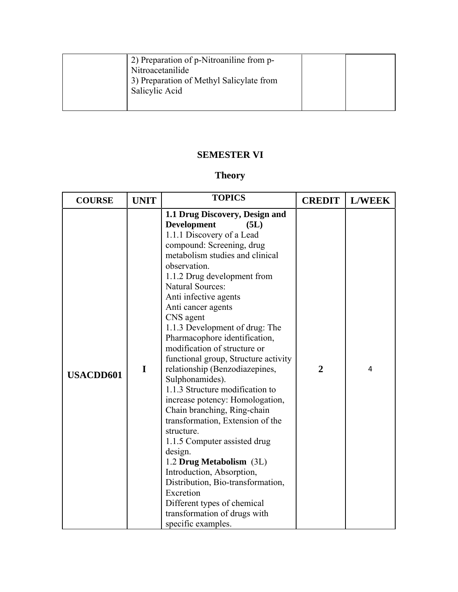| 2) Preparation of p-Nitroaniline from p-<br>Nitroacetanilide<br>3) Preparation of Methyl Salicylate from<br>Salicylic Acid |  |
|----------------------------------------------------------------------------------------------------------------------------|--|
|                                                                                                                            |  |

# **SEMESTER VI**

# **Theory**

| <b>COURSE</b>    | <b>UNIT</b> | <b>TOPICS</b>                                                                                                                                                                                                                                                                                                                                                                                                                                                                                                                                                                                                                                                                                                                                                                                                                                                                                     | <b>CREDIT</b>  | <b>L/WEEK</b> |
|------------------|-------------|---------------------------------------------------------------------------------------------------------------------------------------------------------------------------------------------------------------------------------------------------------------------------------------------------------------------------------------------------------------------------------------------------------------------------------------------------------------------------------------------------------------------------------------------------------------------------------------------------------------------------------------------------------------------------------------------------------------------------------------------------------------------------------------------------------------------------------------------------------------------------------------------------|----------------|---------------|
| <b>USACDD601</b> | I           | 1.1 Drug Discovery, Design and<br><b>Development</b><br>(5L)<br>1.1.1 Discovery of a Lead<br>compound: Screening, drug<br>metabolism studies and clinical<br>observation.<br>1.1.2 Drug development from<br><b>Natural Sources:</b><br>Anti infective agents<br>Anti cancer agents<br>CNS agent<br>1.1.3 Development of drug: The<br>Pharmacophore identification,<br>modification of structure or<br>functional group, Structure activity<br>relationship (Benzodiazepines,<br>Sulphonamides).<br>1.1.3 Structure modification to<br>increase potency: Homologation,<br>Chain branching, Ring-chain<br>transformation, Extension of the<br>structure.<br>1.1.5 Computer assisted drug<br>design.<br>1.2 Drug Metabolism (3L)<br>Introduction, Absorption,<br>Distribution, Bio-transformation,<br>Excretion<br>Different types of chemical<br>transformation of drugs with<br>specific examples. | $\overline{2}$ | 4             |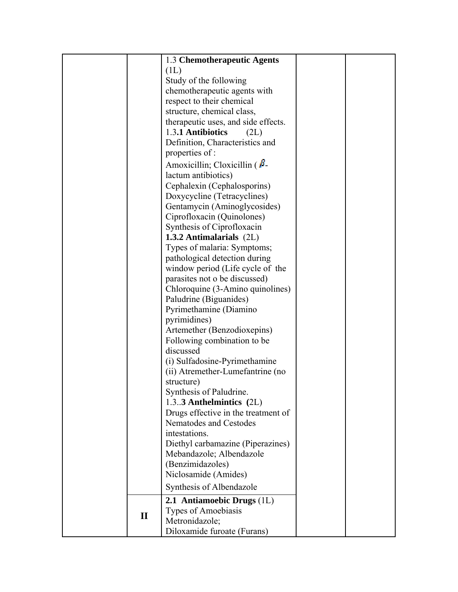|              | 1.3 Chemotherapeutic Agents                                       |  |
|--------------|-------------------------------------------------------------------|--|
|              | (1L)                                                              |  |
|              | Study of the following                                            |  |
|              | chemotherapeutic agents with                                      |  |
|              | respect to their chemical                                         |  |
|              | structure, chemical class,                                        |  |
|              | therapeutic uses, and side effects.                               |  |
|              | 1.3.1 Antibiotics<br>(2L)                                         |  |
|              | Definition, Characteristics and                                   |  |
|              | properties of:                                                    |  |
|              | Amoxicillin; Cloxicillin $\beta$ -                                |  |
|              | lactum antibiotics)                                               |  |
|              | Cephalexin (Cephalosporins)                                       |  |
|              | Doxycycline (Tetracyclines)                                       |  |
|              | Gentamycin (Aminoglycosides)                                      |  |
|              | Ciprofloxacin (Quinolones)                                        |  |
|              | Synthesis of Ciprofloxacin                                        |  |
|              | 1.3.2 Antimalarials (2L)                                          |  |
|              | Types of malaria: Symptoms;                                       |  |
|              | pathological detection during                                     |  |
|              | window period (Life cycle of the<br>parasites not o be discussed) |  |
|              | Chloroquine (3-Amino quinolines)                                  |  |
|              | Paludrine (Biguanides)                                            |  |
|              | Pyrimethamine (Diamino                                            |  |
|              | pyrimidines)                                                      |  |
|              | Artemether (Benzodioxepins)                                       |  |
|              | Following combination to be                                       |  |
|              | discussed                                                         |  |
|              | (i) Sulfadosine-Pyrimethamine                                     |  |
|              | (ii) Atremether-Lumefantrine (no                                  |  |
|              | structure)                                                        |  |
|              | Synthesis of Paludrine.                                           |  |
|              | 1.3.3 Anthelmintics (2L)                                          |  |
|              | Drugs effective in the treatment of                               |  |
|              | Nematodes and Cestodes                                            |  |
|              | intestations.                                                     |  |
|              | Diethyl carbamazine (Piperazines)                                 |  |
|              | Mebandazole; Albendazole                                          |  |
|              | (Benzimidazoles)                                                  |  |
|              | Niclosamide (Amides)<br>Synthesis of Albendazole                  |  |
|              |                                                                   |  |
|              | 2.1 Antiamoebic Drugs (1L)                                        |  |
| $\mathbf{I}$ | Types of Amoebiasis<br>Metronidazole;                             |  |
|              | Diloxamide furoate (Furans)                                       |  |
|              |                                                                   |  |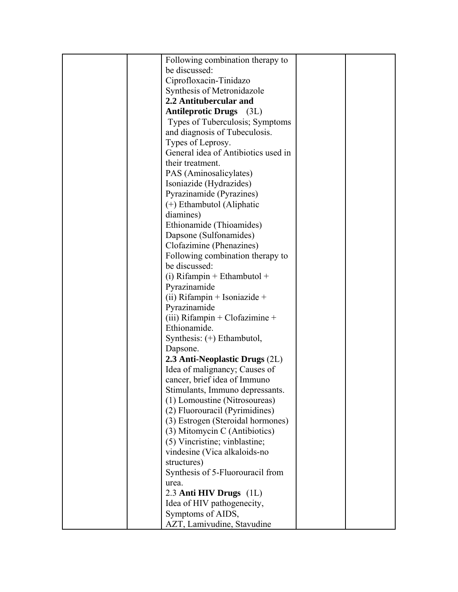| Following combination therapy to    |  |
|-------------------------------------|--|
| be discussed:                       |  |
| Ciprofloxacin-Tinidazo              |  |
| Synthesis of Metronidazole          |  |
| 2.2 Antitubercular and              |  |
| <b>Antileprotic Drugs</b> (3L)      |  |
| Types of Tuberculosis; Symptoms     |  |
| and diagnosis of Tubeculosis.       |  |
| Types of Leprosy.                   |  |
| General idea of Antibiotics used in |  |
| their treatment.                    |  |
| PAS (Aminosalicylates)              |  |
| Isoniazide (Hydrazides)             |  |
| Pyrazinamide (Pyrazines)            |  |
| $(+)$ Ethambutol (Aliphatic         |  |
| diamines)                           |  |
| Ethionamide (Thioamides)            |  |
| Dapsone (Sulfonamides)              |  |
| Clofazimine (Phenazines)            |  |
| Following combination therapy to    |  |
| be discussed:                       |  |
| $(i)$ Rifampin + Ethambutol +       |  |
| Pyrazinamide                        |  |
| (ii) Rifampin + Isoniazide +        |  |
| Pyrazinamide                        |  |
| (iii) Rifampin + Clofazimine +      |  |
| Ethionamide.                        |  |
| Synthesis: (+) Ethambutol,          |  |
| Dapsone.                            |  |
| 2.3 Anti-Neoplastic Drugs (2L)      |  |
| Idea of malignancy; Causes of       |  |
| cancer, brief idea of Immuno        |  |
| Stimulants, Immuno depressants.     |  |
| (1) Lomoustine (Nitrosoureas)       |  |
| (2) Fluorouracil (Pyrimidines)      |  |
| (3) Estrogen (Steroidal hormones)   |  |
| (3) Mitomycin C (Antibiotics)       |  |
| (5) Vincristine; vinblastine;       |  |
| vindesine (Vica alkaloids-no        |  |
| structures)                         |  |
| Synthesis of 5-Fluorouracil from    |  |
| urea.                               |  |
| 2.3 Anti HIV Drugs (1L)             |  |
| Idea of HIV pathogenecity,          |  |
| Symptoms of AIDS,                   |  |
| AZT, Lamivudine, Stavudine          |  |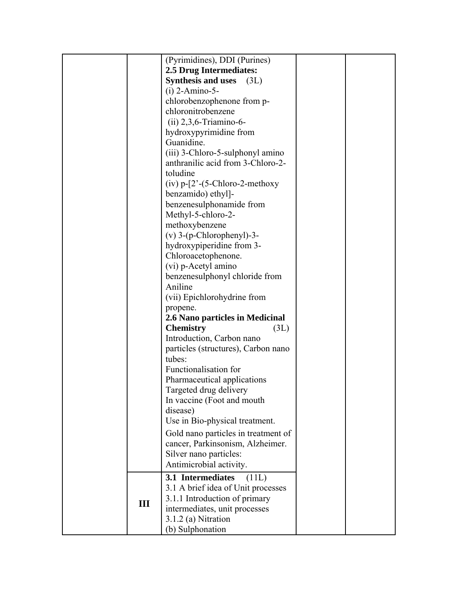|     | (Pyrimidines), DDI (Purines)                                           |  |
|-----|------------------------------------------------------------------------|--|
|     | 2.5 Drug Intermediates:                                                |  |
|     | <b>Synthesis and uses</b><br>(3L)                                      |  |
|     | $(i)$ 2-Amino-5-                                                       |  |
|     | chlorobenzophenone from p-                                             |  |
|     | chloronitrobenzene                                                     |  |
|     | $(ii) 2,3,6$ -Triamino-6-                                              |  |
|     | hydroxypyrimidine from                                                 |  |
|     | Guanidine.                                                             |  |
|     | (iii) 3-Chloro-5-sulphonyl amino                                       |  |
|     | anthranilic acid from 3-Chloro-2-                                      |  |
|     | toludine                                                               |  |
|     | $(iv)$ p- $[2^{\degree}-(5{\text -}Chloro-2{\text -}methodexp{\theta}$ |  |
|     | benzamido) ethyl]-                                                     |  |
|     | benzenesulphonamide from                                               |  |
|     | Methyl-5-chloro-2-                                                     |  |
|     | methoxybenzene                                                         |  |
|     | $(v)$ 3- $(p$ -Chlorophenyl)-3-                                        |  |
|     | hydroxypiperidine from 3-                                              |  |
|     | Chloroacetophenone.                                                    |  |
|     | (vi) p-Acetyl amino                                                    |  |
|     | benzenesulphonyl chloride from                                         |  |
|     | Aniline                                                                |  |
|     | (vii) Epichlorohydrine from                                            |  |
|     | propene.                                                               |  |
|     | 2.6 Nano particles in Medicinal                                        |  |
|     | <b>Chemistry</b><br>(3L)                                               |  |
|     | Introduction, Carbon nano<br>particles (structures), Carbon nano       |  |
|     | tubes:                                                                 |  |
|     | Functionalisation for                                                  |  |
|     | Pharmaceutical applications                                            |  |
|     | Targeted drug delivery                                                 |  |
|     | In vaccine (Foot and mouth)                                            |  |
|     | disease)                                                               |  |
|     | Use in Bio-physical treatment.                                         |  |
|     | Gold nano particles in treatment of                                    |  |
|     | cancer, Parkinsonism, Alzheimer.                                       |  |
|     | Silver nano particles:                                                 |  |
|     | Antimicrobial activity.                                                |  |
|     |                                                                        |  |
|     | 3.1 Intermediates<br>(11L)<br>3.1 A brief idea of Unit processes       |  |
|     | 3.1.1 Introduction of primary                                          |  |
| III | intermediates, unit processes                                          |  |
|     | $3.1.2$ (a) Nitration                                                  |  |
|     | (b) Sulphonation                                                       |  |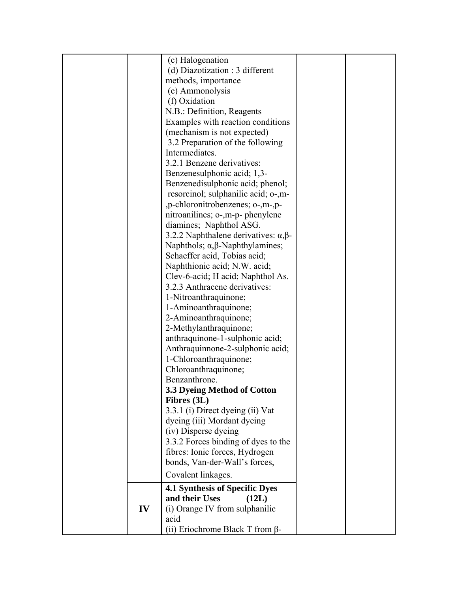|    | (c) Halogenation<br>(d) Diazotization : 3 different |  |
|----|-----------------------------------------------------|--|
|    | methods, importance                                 |  |
|    | (e) Ammonolysis                                     |  |
|    | (f) Oxidation                                       |  |
|    | N.B.: Definition, Reagents                          |  |
|    | Examples with reaction conditions                   |  |
|    | (mechanism is not expected)                         |  |
|    | 3.2 Preparation of the following                    |  |
|    | Intermediates.                                      |  |
|    | 3.2.1 Benzene derivatives:                          |  |
|    | Benzenesulphonic acid; 1,3-                         |  |
|    | Benzenedisulphonic acid; phenol;                    |  |
|    | resorcinol; sulphanilic acid; o-,m-                 |  |
|    | , p-chloronitrobenzenes; o-, m-, p-                 |  |
|    | nitroanilines; o-,m-p- phenylene                    |  |
|    | diamines; Naphthol ASG.                             |  |
|    | 3.2.2 Naphthalene derivatives: $\alpha$ , $\beta$ - |  |
|    | Naphthols; $\alpha$ , $\beta$ -Naphthylamines;      |  |
|    | Schaeffer acid, Tobias acid;                        |  |
|    | Naphthionic acid; N.W. acid;                        |  |
|    | Clev-6-acid; H acid; Naphthol As.                   |  |
|    | 3.2.3 Anthracene derivatives:                       |  |
|    | 1-Nitroanthraquinone;                               |  |
|    | 1-Aminoanthraquinone;                               |  |
|    | 2-Aminoanthraquinone;<br>2-Methylanthraquinone;     |  |
|    | anthraquinone-1-sulphonic acid;                     |  |
|    | Anthraquinnone-2-sulphonic acid;                    |  |
|    | 1-Chloroanthraquinone;                              |  |
|    | Chloroanthraquinone;                                |  |
|    | Benzanthrone.                                       |  |
|    | 3.3 Dyeing Method of Cotton                         |  |
|    | Fibres (3L)                                         |  |
|    | 3.3.1 (i) Direct dyeing (ii) Vat                    |  |
|    | dyeing (iii) Mordant dyeing                         |  |
|    | (iv) Disperse dyeing                                |  |
|    | 3.3.2 Forces binding of dyes to the                 |  |
|    | fibres: Ionic forces, Hydrogen                      |  |
|    | bonds, Van-der-Wall's forces,                       |  |
|    | Covalent linkages.                                  |  |
|    | <b>4.1 Synthesis of Specific Dyes</b>               |  |
|    | and their Uses<br>(12L)                             |  |
| IV | (i) Orange IV from sulphanilic                      |  |
|    | acid                                                |  |
|    | (ii) Eriochrome Black T from $\beta$ -              |  |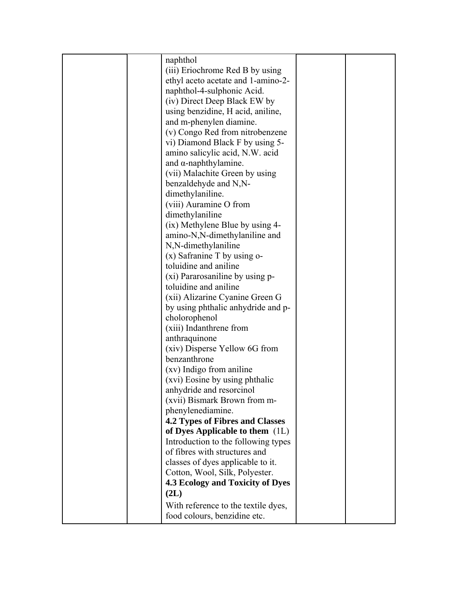| naphthol                               |  |
|----------------------------------------|--|
| (iii) Eriochrome Red B by using        |  |
| ethyl aceto acetate and 1-amino-2-     |  |
| naphthol-4-sulphonic Acid.             |  |
| (iv) Direct Deep Black EW by           |  |
| using benzidine, H acid, aniline,      |  |
| and m-phenylen diamine.                |  |
| (v) Congo Red from nitrobenzene        |  |
| vi) Diamond Black F by using 5-        |  |
|                                        |  |
| amino salicylic acid, N.W. acid        |  |
| and $\alpha$ -naphthylamine.           |  |
| (vii) Malachite Green by using         |  |
| benzaldehyde and N,N-                  |  |
| dimethylaniline.                       |  |
| (viii) Auramine O from                 |  |
| dimethylaniline                        |  |
| (ix) Methylene Blue by using 4-        |  |
| amino-N,N-dimethylaniline and          |  |
| N,N-dimethylaniline                    |  |
| $(x)$ Safranine T by using o-          |  |
| toluidine and aniline                  |  |
| (xi) Pararosaniline by using p-        |  |
| toluidine and aniline                  |  |
| (xii) Alizarine Cyanine Green G        |  |
| by using phthalic anhydride and p-     |  |
| cholorophenol                          |  |
| (xiii) Indanthrene from                |  |
| anthraquinone                          |  |
| (xiv) Disperse Yellow 6G from          |  |
| benzanthrone                           |  |
| (xv) Indigo from aniline               |  |
| (xvi) Eosine by using phthalic         |  |
| anhydride and resorcinol               |  |
| (xvii) Bismark Brown from m-           |  |
| phenylenediamine.                      |  |
| <b>4.2 Types of Fibres and Classes</b> |  |
| of Dyes Applicable to them $(1L)$      |  |
| Introduction to the following types    |  |
| of fibres with structures and          |  |
| classes of dyes applicable to it.      |  |
| Cotton, Wool, Silk, Polyester.         |  |
| 4.3 Ecology and Toxicity of Dyes       |  |
| (2L)                                   |  |
|                                        |  |
| With reference to the textile dyes,    |  |
| food colours, benzidine etc.           |  |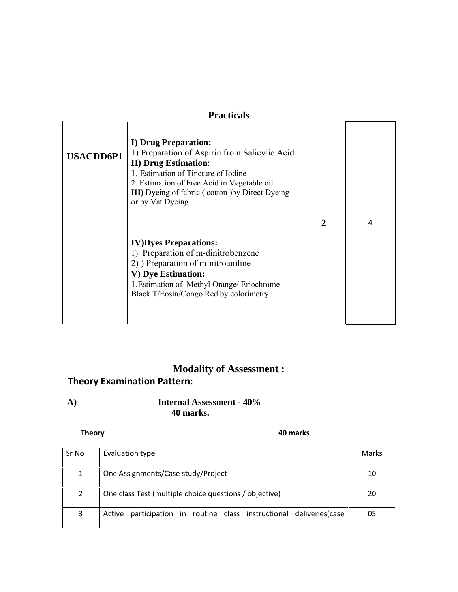| <b>Practicals</b> |                                                                                                                                                                                                                                                                            |                |   |
|-------------------|----------------------------------------------------------------------------------------------------------------------------------------------------------------------------------------------------------------------------------------------------------------------------|----------------|---|
| <b>USACDD6P1</b>  | I) Drug Preparation:<br>1) Preparation of Aspirin from Salicylic Acid<br><b>II) Drug Estimation:</b><br>1. Estimation of Tincture of Iodine<br>2. Estimation of Free Acid in Vegetable oil<br><b>III</b> ) Dyeing of fabric (cotton ) by Direct Dyeing<br>or by Vat Dyeing |                |   |
|                   |                                                                                                                                                                                                                                                                            | $\overline{2}$ | 4 |
|                   | <b>IV)Dyes Preparations:</b><br>1) Preparation of m-dinitrobenzene<br>2) Preparation of m-nitroaniline<br>V) Dye Estimation:<br>1. Estimation of Methyl Orange/ Eriochrome<br>Black T/Eosin/Congo Red by colorimetry                                                       |                |   |

# **Modality of Assessment :**

# **Theory Examination Pattern:**

**A) Internal Assessment - 40% 40 marks.** 

### **Theory 40 marks**

| Sr No | Evaluation type                                                      | Marks |
|-------|----------------------------------------------------------------------|-------|
|       | One Assignments/Case study/Project                                   | 10    |
|       | One class Test (multiple choice questions / objective)               | 20    |
| 3     | Active participation in routine class instructional deliveries (case | 05    |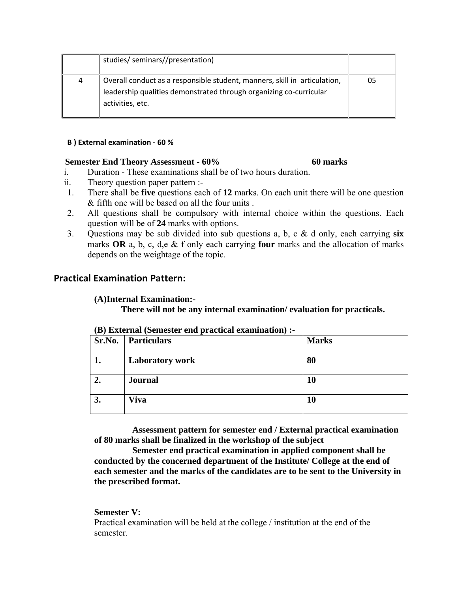|   | studies/ seminars//presentation)                                                                                                                                    |    |
|---|---------------------------------------------------------------------------------------------------------------------------------------------------------------------|----|
| 4 | Overall conduct as a responsible student, manners, skill in articulation,<br>leadership qualities demonstrated through organizing co-curricular<br>activities, etc. | 05 |

#### **B ) External examination ‐ 60 %**

### **Semester End Theory Assessment - 60% 60 marks**

- i. Duration These examinations shall be of two hours duration.
- ii. Theory question paper pattern :-
- 1. There shall be **five** questions each of **12** marks. On each unit there will be one question & fifth one will be based on all the four units .
- 2. All questions shall be compulsory with internal choice within the questions. Each question will be of **24** marks with options.
- 3. Questions may be sub divided into sub questions a, b, c & d only, each carrying **six** marks **OR** a, b, c, d,e & f only each carrying **four** marks and the allocation of marks depends on the weightage of the topic.

### **Practical Examination Pattern:**

### **(A)Internal Examination:-**

**There will not be any internal examination/ evaluation for practicals.** 

| Sr.No. | <b>Particulars</b>     | <b>Marks</b> |
|--------|------------------------|--------------|
| ı.     | <b>Laboratory work</b> | 80           |
|        | <b>Journal</b>         | 10           |
| 3.     | <b>Viva</b>            | 10           |

### **(B) External (Semester end practical examination) :-**

 **Assessment pattern for semester end / External practical examination of 80 marks shall be finalized in the workshop of the subject** 

 **Semester end practical examination in applied component shall be conducted by the concerned department of the Institute/ College at the end of each semester and the marks of the candidates are to be sent to the University in the prescribed format.** 

### **Semester V:**

Practical examination will be held at the college / institution at the end of the semester.